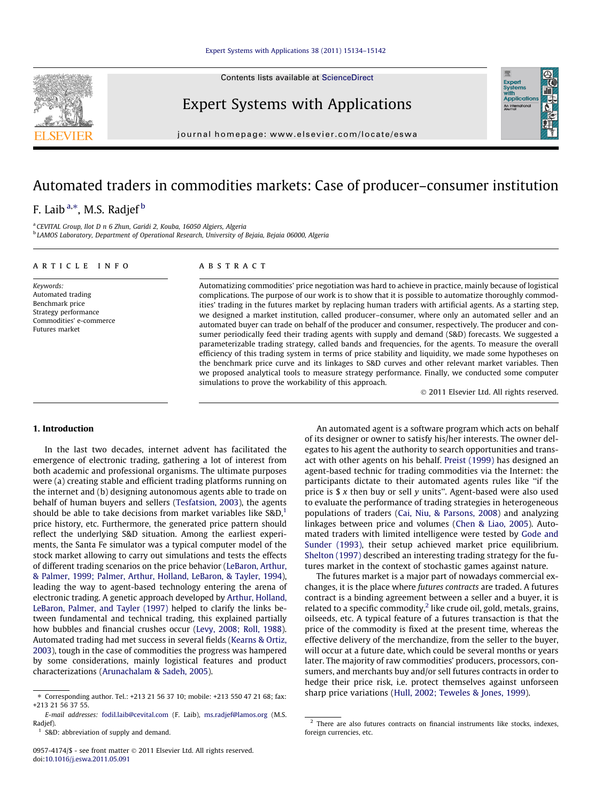Contents lists available at [ScienceDirect](http://www.sciencedirect.com/science/journal/09574174)

Expert Systems with Applications

journal homepage: [www.elsevier.com/locate/eswa](http://www.elsevier.com/locate/eswa)

## Automated traders in commodities markets: Case of producer–consumer institution

### F. Laib<sup>a,</sup>\*, M.S. Radjef<sup>b</sup>

<sup>a</sup> CEVITAL Group, Ilot D n 6 Zhun, Garidi 2, Kouba, 16050 Algiers, Algeria <sup>b</sup> LAMOS Laboratory, Department of Operational Research, University of Bejaia, Bejaia 06000, Algeria

| ARTICLE INFO                                                              | <b>ABSTRACT</b>                                                                                                                                                                                                                                                                                                                                                                                                                         |
|---------------------------------------------------------------------------|-----------------------------------------------------------------------------------------------------------------------------------------------------------------------------------------------------------------------------------------------------------------------------------------------------------------------------------------------------------------------------------------------------------------------------------------|
| Keywords:<br>Automated trading<br>Benchmark price<br>Strategy performance | Automatizing commodities' price negotiation was hard to achieve in practice, mainly because of logistical<br>complications. The purpose of our work is to show that it is possible to automatize thoroughly commod-<br>ities' trading in the futures market by replacing human traders with artificial agents. As a starting step,<br>we designed a market institution, called producer-consumer, where only an automated seller and an |
| Commodities' e-commerce                                                   | accountably account on the set of the left of the second construction of account of the set of the second constant of the second second second second second second second second second second second second second second se                                                                                                                                                                                                          |

simulations to prove the workability of this approach.

#### 1. Introduction

Futures market

In the last two decades, internet advent has facilitated the emergence of electronic trading, gathering a lot of interest from both academic and professional organisms. The ultimate purposes were (a) creating stable and efficient trading platforms running on the internet and (b) designing autonomous agents able to trade on behalf of human buyers and sellers [\(Tesfatsion, 2003](#page--1-0)), the agents should be able to take decisions from market variables like  $S&D$ ,<sup>1</sup> price history, etc. Furthermore, the generated price pattern should reflect the underlying S&D situation. Among the earliest experiments, the Santa Fe simulator was a typical computer model of the stock market allowing to carry out simulations and tests the effects of different trading scenarios on the price behavior [\(LeBaron, Arthur,](#page--1-0) [& Palmer, 1999; Palmer, Arthur, Holland, LeBaron, & Tayler, 1994](#page--1-0)), leading the way to agent-based technology entering the arena of electronic trading. A genetic approach developed by [Arthur, Holland,](#page--1-0) [LeBaron, Palmer, and Tayler \(1997\)](#page--1-0) helped to clarify the links between fundamental and technical trading, this explained partially how bubbles and financial crushes occur [\(Levy, 2008; Roll, 1988\)](#page--1-0). Automated trading had met success in several fields ([Kearns & Ortiz,](#page--1-0) [2003](#page--1-0)), tough in the case of commodities the progress was hampered by some considerations, mainly logistical features and product characterizations [\(Arunachalam & Sadeh, 2005\)](#page--1-0).

An automated agent is a software program which acts on behalf of its designer or owner to satisfy his/her interests. The owner delegates to his agent the authority to search opportunities and transact with other agents on his behalf. [Preist \(1999\)](#page--1-0) has designed an agent-based technic for trading commodities via the Internet: the participants dictate to their automated agents rules like ''if the price is  $\frac{1}{2}$  x then buy or sell y units". Agent-based were also used to evaluate the performance of trading strategies in heterogeneous populations of traders [\(Cai, Niu, & Parsons, 2008](#page--1-0)) and analyzing linkages between price and volumes [\(Chen & Liao, 2005\)](#page--1-0). Automated traders with limited intelligence were tested by [Gode and](#page--1-0) [Sunder \(1993\)](#page--1-0), their setup achieved market price equilibrium. [Shelton \(1997\)](#page--1-0) described an interesting trading strategy for the futures market in the context of stochastic games against nature.

- 2011 Elsevier Ltd. All rights reserved.

automated buyer can trade on behalf of the producer and consumer, respectively. The producer and consumer periodically feed their trading agents with supply and demand (S&D) forecasts. We suggested a parameterizable trading strategy, called bands and frequencies, for the agents. To measure the overall efficiency of this trading system in terms of price stability and liquidity, we made some hypotheses on the benchmark price curve and its linkages to S&D curves and other relevant market variables. Then we proposed analytical tools to measure strategy performance. Finally, we conducted some computer

> The futures market is a major part of nowadays commercial exchanges, it is the place where futures contracts are traded. A futures contract is a binding agreement between a seller and a buyer, it is related to a specific commodity,<sup>2</sup> like crude oil, gold, metals, grains, oilseeds, etc. A typical feature of a futures transaction is that the price of the commodity is fixed at the present time, whereas the effective delivery of the merchandize, from the seller to the buyer, will occur at a future date, which could be several months or years later. The majority of raw commodities' producers, processors, consumers, and merchants buy and/or sell futures contracts in order to hedge their price risk, i.e. protect themselves against unforseen sharp price variations ([Hull, 2002; Teweles & Jones, 1999\)](#page--1-0).





<sup>⇑</sup> Corresponding author. Tel.: +213 21 56 37 10; mobile: +213 550 47 21 68; fax: +213 21 56 37 55.

E-mail addresses: [fodil.laib@cevital.com](mailto:fodil.laib@cevital.com) (F. Laib), [ms.radjef@lamos.org](mailto:ms.radjef@lamos.org) (M.S. Radjef).

<sup>&</sup>lt;sup>1</sup> S&D: abbreviation of supply and demand.

<sup>0957-4174/\$ -</sup> see front matter © 2011 Elsevier Ltd. All rights reserved. doi:[10.1016/j.eswa.2011.05.091](http://dx.doi.org/10.1016/j.eswa.2011.05.091)

 $2$  There are also futures contracts on financial instruments like stocks, indexes, foreign currencies, etc.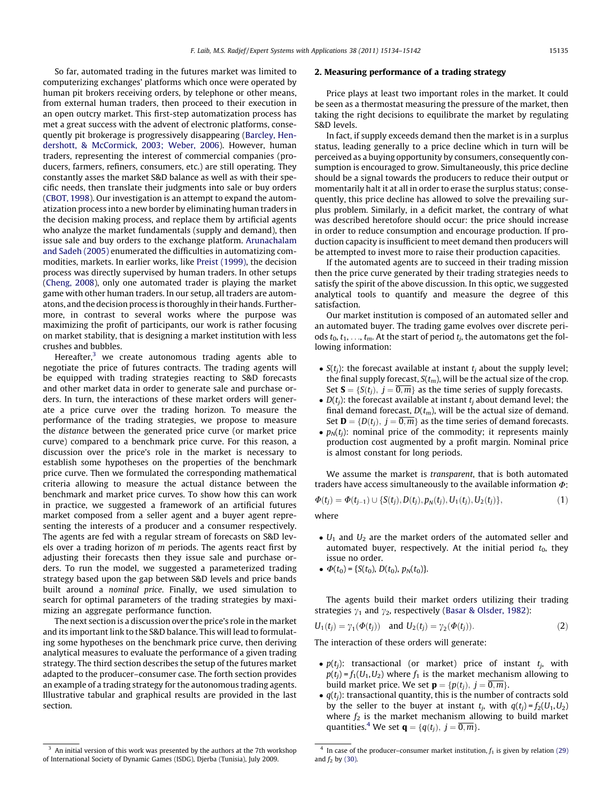So far, automated trading in the futures market was limited to computerizing exchanges' platforms which once were operated by human pit brokers receiving orders, by telephone or other means, from external human traders, then proceed to their execution in an open outcry market. This first-step automatization process has met a great success with the advent of electronic platforms, consequently pit brokerage is progressively disappearing ([Barcley, Hen](#page--1-0)[dershott, & McCormick, 2003; Weber, 2006](#page--1-0)). However, human traders, representing the interest of commercial companies (producers, farmers, refiners, consumers, etc.) are still operating. They constantly asses the market S&D balance as well as with their specific needs, then translate their judgments into sale or buy orders ([CBOT, 1998\)](#page--1-0). Our investigation is an attempt to expand the automatization process into a new border by eliminating human traders in the decision making process, and replace them by artificial agents who analyze the market fundamentals (supply and demand), then issue sale and buy orders to the exchange platform. [Arunachalam](#page--1-0) [and Sadeh \(2005\)](#page--1-0) enumerated the difficulties in automatizing commodities, markets. In earlier works, like [Preist \(1999\),](#page--1-0) the decision process was directly supervised by human traders. In other setups ([Cheng, 2008](#page--1-0)), only one automated trader is playing the market game with other human traders. In our setup, all traders are automatons, and the decision process is thoroughly in their hands. Furthermore, in contrast to several works where the purpose was maximizing the profit of participants, our work is rather focusing on market stability, that is designing a market institution with less crushes and bubbles.

Hereafter, $3$  we create autonomous trading agents able to negotiate the price of futures contracts. The trading agents will be equipped with trading strategies reacting to S&D forecasts and other market data in order to generate sale and purchase orders. In turn, the interactions of these market orders will generate a price curve over the trading horizon. To measure the performance of the trading strategies, we propose to measure the distance between the generated price curve (or market price curve) compared to a benchmark price curve. For this reason, a discussion over the price's role in the market is necessary to establish some hypotheses on the properties of the benchmark price curve. Then we formulated the corresponding mathematical criteria allowing to measure the actual distance between the benchmark and market price curves. To show how this can work in practice, we suggested a framework of an artificial futures market composed from a seller agent and a buyer agent representing the interests of a producer and a consumer respectively. The agents are fed with a regular stream of forecasts on S&D levels over a trading horizon of m periods. The agents react first by adjusting their forecasts then they issue sale and purchase orders. To run the model, we suggested a parameterized trading strategy based upon the gap between S&D levels and price bands built around a nominal price. Finally, we used simulation to search for optimal parameters of the trading strategies by maximizing an aggregate performance function.

The next section is a discussion over the price's role in the market and its important link to the S&D balance. This will lead to formulating some hypotheses on the benchmark price curve, then deriving analytical measures to evaluate the performance of a given trading strategy. The third section describes the setup of the futures market adapted to the producer–consumer case. The forth section provides an example of a trading strategy for the autonomous trading agents. Illustrative tabular and graphical results are provided in the last section.

#### 2. Measuring performance of a trading strategy

Price plays at least two important roles in the market. It could be seen as a thermostat measuring the pressure of the market, then taking the right decisions to equilibrate the market by regulating S&D levels.

In fact, if supply exceeds demand then the market is in a surplus status, leading generally to a price decline which in turn will be perceived as a buying opportunity by consumers, consequently consumption is encouraged to grow. Simultaneously, this price decline should be a signal towards the producers to reduce their output or momentarily halt it at all in order to erase the surplus status; consequently, this price decline has allowed to solve the prevailing surplus problem. Similarly, in a deficit market, the contrary of what was described heretofore should occur: the price should increase in order to reduce consumption and encourage production. If production capacity is insufficient to meet demand then producers will be attempted to invest more to raise their production capacities.

If the automated agents are to succeed in their trading mission then the price curve generated by their trading strategies needs to satisfy the spirit of the above discussion. In this optic, we suggested analytical tools to quantify and measure the degree of this satisfaction.

Our market institution is composed of an automated seller and an automated buyer. The trading game evolves over discrete periods  $t_0, t_1, \ldots, t_m$ . At the start of period  $t_i$ , the automatons get the following information:

- S( $t_j$ ): the forecast available at instant  $t_j$  about the supply level; the final supply forecast,  $S(t_m)$ , will be the actual size of the crop. Set  $S = \{S(t_i), j = \overline{0,m}\}\$ as the time series of supply forecasts.
- $D(t_j)$ : the forecast available at instant  $t_j$  about demand level; the final demand forecast,  $D(t_m)$ , will be the actual size of demand. Set **D** = { $D(t_i)$ ,  $j = \overline{0,m}$ } as the time series of demand forecasts.
- $p_N(t_j)$ : nominal price of the commodity; it represents mainly production cost augmented by a profit margin. Nominal price is almost constant for long periods.

We assume the market is *transparent*, that is both automated traders have access simultaneously to the available information  $\Phi$ :

$$
\Phi(t_j) = \Phi(t_{j-1}) \cup \{S(t_j), D(t_j), p_N(t_j), U_1(t_j), U_2(t_j)\},\tag{1}
$$

where

- $U_1$  and  $U_2$  are the market orders of the automated seller and automated buyer, respectively. At the initial period  $t_0$ , they issue no order.
- $\bullet \ \Phi(t_0) = \{S(t_0), D(t_0), p_N(t_0)\}.$

The agents build their market orders utilizing their trading strategies  $\gamma_1$  and  $\gamma_2$ , respectively [\(Basar & Olsder, 1982\)](#page--1-0):

$$
U_1(t_j) = \gamma_1(\Phi(t_j)) \text{ and } U_2(t_j) = \gamma_2(\Phi(t_j)).
$$
 (2)

The interaction of these orders will generate:

- $\bullet$   $p(t_j)$ : transactional (or market) price of instant  $t_j$ , with  $p(t_i) = f_1(U_1, U_2)$  where  $f_1$  is the market mechanism allowing to build market price. We set  $\mathbf{p} = \{p(t_i), j = \overline{0,m}\}.$
- $q(t_j)$ : transactional quantity, this is the number of contracts sold by the seller to the buyer at instant  $t_i$ , with  $q(t_i) = f_2(U_1, U_2)$ where  $f_2$  is the market mechanism allowing to build market quantities.<sup>4</sup> We set  $\mathbf{q} = \{q(t_i), j = \overline{0,m}\}.$

<sup>&</sup>lt;sup>3</sup> An initial version of this work was presented by the authors at the 7th workshop of International Society of Dynamic Games (ISDG), Djerba (Tunisia), July 2009.

 $\overline{4}$  In case of the producer–consumer market institution,  $f_1$  is given by relation [\(29\)](#page--1-0) and  $f_2$  by [\(30\).](#page--1-0)